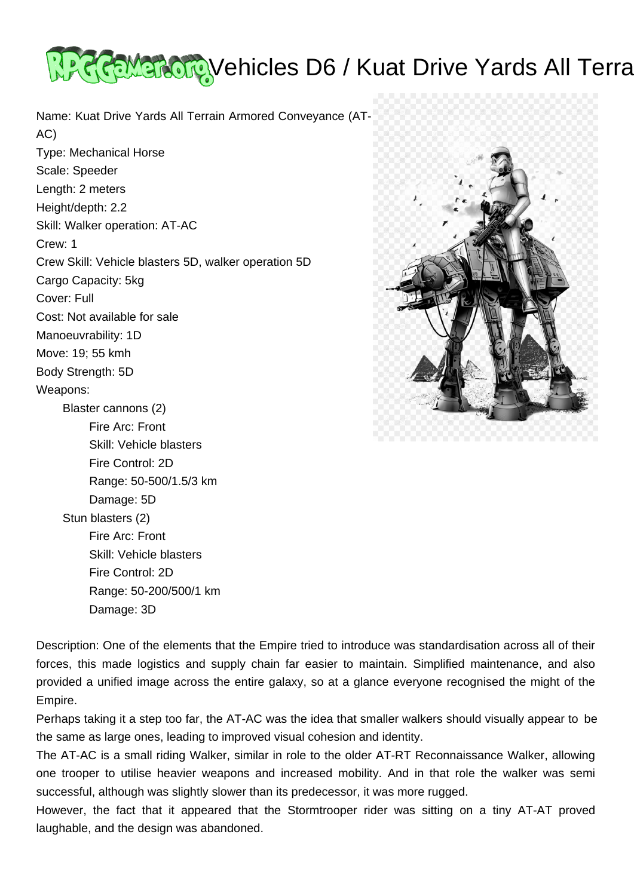

Name: Kuat Drive Yards All Terrain Armored Conveyance (AT-AC) Type: Mechanical Horse Scale: Speeder Length: 2 meters Height/depth: 2.2 Skill: Walker operation: AT-AC Crew: 1 Crew Skill: Vehicle blasters 5D, walker operation 5D Cargo Capacity: 5kg Cover: Full Cost: Not available for sale Manoeuvrability: 1D Move: 19; 55 kmh Body Strength: 5D Weapons: Blaster cannons (2) Fire Arc: Front Skill: Vehicle blasters Fire Control: 2D Range: 50-500/1.5/3 km Damage: 5D Stun blasters (2) Fire Arc: Front Skill: Vehicle blasters Fire Control: 2D Range: 50-200/500/1 km Damage: 3D



Description: One of the elements that the Empire tried to introduce was standardisation across all of their forces, this made logistics and supply chain far easier to maintain. Simplified maintenance, and also provided a unified image across the entire galaxy, so at a glance everyone recognised the might of the Empire.

Perhaps taking it a step too far, the AT-AC was the idea that smaller walkers should visually appear to be the same as large ones, leading to improved visual cohesion and identity.

The AT-AC is a small riding Walker, similar in role to the older AT-RT Reconnaissance Walker, allowing one trooper to utilise heavier weapons and increased mobility. And in that role the walker was semi successful, although was slightly slower than its predecessor, it was more rugged.

However, the fact that it appeared that the Stormtrooper rider was sitting on a tiny AT-AT proved laughable, and the design was abandoned.